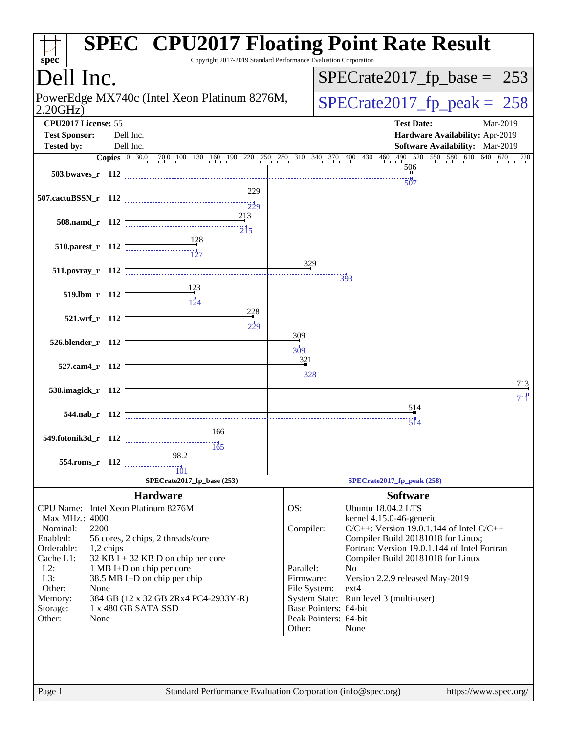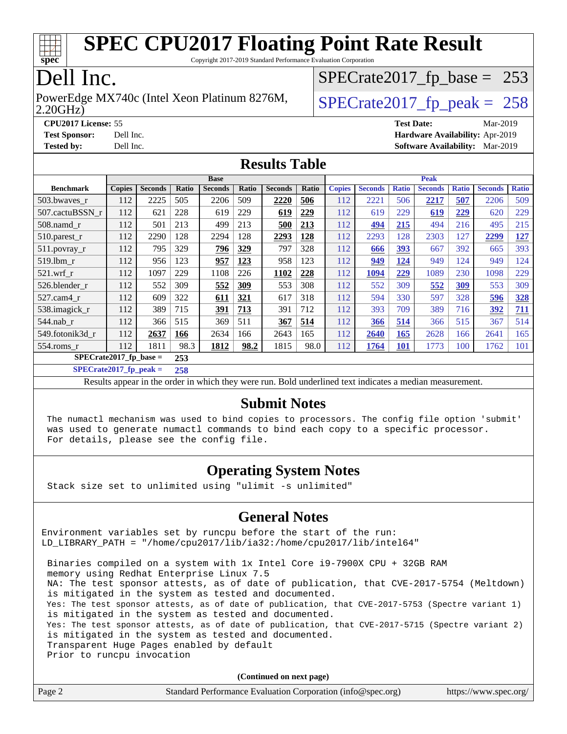

Copyright 2017-2019 Standard Performance Evaluation Corporation

## Dell Inc.

2.20GHz) PowerEdge MX740c (Intel Xeon Platinum 8276M,  $\big|$  [SPECrate2017\\_fp\\_peak =](http://www.spec.org/auto/cpu2017/Docs/result-fields.html#SPECrate2017fppeak) 258

[SPECrate2017\\_fp\\_base =](http://www.spec.org/auto/cpu2017/Docs/result-fields.html#SPECrate2017fpbase) 253

**[Tested by:](http://www.spec.org/auto/cpu2017/Docs/result-fields.html#Testedby)** Dell Inc. **[Software Availability:](http://www.spec.org/auto/cpu2017/Docs/result-fields.html#SoftwareAvailability)** Mar-2019

**[CPU2017 License:](http://www.spec.org/auto/cpu2017/Docs/result-fields.html#CPU2017License)** 55 **[Test Date:](http://www.spec.org/auto/cpu2017/Docs/result-fields.html#TestDate)** Mar-2019 **[Test Sponsor:](http://www.spec.org/auto/cpu2017/Docs/result-fields.html#TestSponsor)** Dell Inc. **[Hardware Availability:](http://www.spec.org/auto/cpu2017/Docs/result-fields.html#HardwareAvailability)** Apr-2019

#### **[Results Table](http://www.spec.org/auto/cpu2017/Docs/result-fields.html#ResultsTable)**

|                                  | <b>Base</b>   |                |       |                | <b>Peak</b> |                |       |               |                |              |                |              |                |              |
|----------------------------------|---------------|----------------|-------|----------------|-------------|----------------|-------|---------------|----------------|--------------|----------------|--------------|----------------|--------------|
| <b>Benchmark</b>                 | <b>Copies</b> | <b>Seconds</b> | Ratio | <b>Seconds</b> | Ratio       | <b>Seconds</b> | Ratio | <b>Copies</b> | <b>Seconds</b> | <b>Ratio</b> | <b>Seconds</b> | <b>Ratio</b> | <b>Seconds</b> | <b>Ratio</b> |
| 503.bwaves_r                     | 112           | 2225           | 505   | 2206           | 509         | 2220           | 506   | 112           | 2221           | 506          | 2217           | 507          | 2206           | 509          |
| 507.cactuBSSN r                  | 112           | 621            | 228   | 619            | 229         | 619            | 229   | 112           | 619            | 229          | 619            | 229          | 620            | 229          |
| $508$ .namd $r$                  | 112           | 501            | 213   | 499            | 213         | 500            | 213   | 112           | 494            | 215          | 494            | 216          | 495            | 215          |
| 510.parest_r                     | 112           | 2290           | 128   | 2294           | 128         | 2293           | 128   | 112           | 2293           | 128          | 2303           | 127          | 2299           | 127          |
| 511.povray_r                     | 112           | 795            | 329   | 796            | 329         | 797            | 328   | 112           | 666            | 393          | 667            | 392          | 665            | 393          |
| 519.lbm r                        | 112           | 956            | 123   | 957            | 123         | 958            | 123   | 112           | 949            | 124          | 949            | 124          | 949            | 124          |
| $521$ .wrf r                     | 112           | 1097           | 229   | 1108           | 226         | 1102           | 228   | 112           | 1094           | 229          | 1089           | 230          | 1098           | 229          |
| 526.blender r                    | 112           | 552            | 309   | 552            | 309         | 553            | 308   | 112           | 552            | 309          | 552            | 309          | 553            | 309          |
| 527.cam4 r                       | 112           | 609            | 322   | 611            | 321         | 617            | 318   | 112           | 594            | 330          | 597            | 328          | 596            | 328          |
| 538.imagick_r                    | 112           | 389            | 715   | 391            | 713         | 391            | 712   | 112           | 393            | 709          | 389            | 716          | 392            | 711          |
| 544.nab r                        | 112           | 366            | 515   | 369            | 511         | 367            | 514   | 112           | 366            | 514          | 366            | 515          | 367            | 514          |
| 549.fotonik3d r                  | 112           | 2637           | 166   | 2634           | 166         | 2643           | 165   | 112           | 2640           | 165          | 2628           | 166          | 2641           | 165          |
| $554$ .roms $r$                  | 112           | 1811           | 98.3  | 1812           | 98.2        | 1815           | 98.0  | 112           | 1764           | <b>101</b>   | 1773           | 100          | 1762           | 101          |
| $SPECrate2017_fp\_base =$<br>253 |               |                |       |                |             |                |       |               |                |              |                |              |                |              |

**[SPECrate2017\\_fp\\_peak =](http://www.spec.org/auto/cpu2017/Docs/result-fields.html#SPECrate2017fppeak) 258**

Results appear in the [order in which they were run.](http://www.spec.org/auto/cpu2017/Docs/result-fields.html#RunOrder) Bold underlined text [indicates a median measurement.](http://www.spec.org/auto/cpu2017/Docs/result-fields.html#Median)

#### **[Submit Notes](http://www.spec.org/auto/cpu2017/Docs/result-fields.html#SubmitNotes)**

 The numactl mechanism was used to bind copies to processors. The config file option 'submit' was used to generate numactl commands to bind each copy to a specific processor. For details, please see the config file.

### **[Operating System Notes](http://www.spec.org/auto/cpu2017/Docs/result-fields.html#OperatingSystemNotes)**

Stack size set to unlimited using "ulimit -s unlimited"

### **[General Notes](http://www.spec.org/auto/cpu2017/Docs/result-fields.html#GeneralNotes)**

Environment variables set by runcpu before the start of the run: LD LIBRARY PATH = "/home/cpu2017/lib/ia32:/home/cpu2017/lib/intel64"

 Binaries compiled on a system with 1x Intel Core i9-7900X CPU + 32GB RAM memory using Redhat Enterprise Linux 7.5 NA: The test sponsor attests, as of date of publication, that CVE-2017-5754 (Meltdown) is mitigated in the system as tested and documented. Yes: The test sponsor attests, as of date of publication, that CVE-2017-5753 (Spectre variant 1) is mitigated in the system as tested and documented. Yes: The test sponsor attests, as of date of publication, that CVE-2017-5715 (Spectre variant 2) is mitigated in the system as tested and documented. Transparent Huge Pages enabled by default Prior to runcpu invocation

**(Continued on next page)**

| Page 2 | Standard Performance Evaluation Corporation (info@spec.org) | https://www.spec.org/ |
|--------|-------------------------------------------------------------|-----------------------|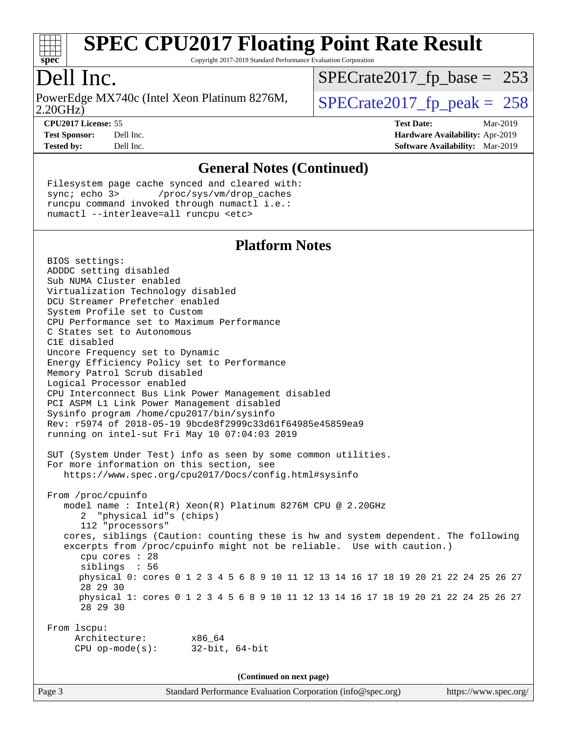

Copyright 2017-2019 Standard Performance Evaluation Corporation

## Dell Inc.

2.20GHz) PowerEdge MX740c (Intel Xeon Platinum 8276M,  $\vert$  [SPECrate2017\\_fp\\_peak =](http://www.spec.org/auto/cpu2017/Docs/result-fields.html#SPECrate2017fppeak) 258

[SPECrate2017\\_fp\\_base =](http://www.spec.org/auto/cpu2017/Docs/result-fields.html#SPECrate2017fpbase) 253

**[CPU2017 License:](http://www.spec.org/auto/cpu2017/Docs/result-fields.html#CPU2017License)** 55 **[Test Date:](http://www.spec.org/auto/cpu2017/Docs/result-fields.html#TestDate)** Mar-2019 **[Test Sponsor:](http://www.spec.org/auto/cpu2017/Docs/result-fields.html#TestSponsor)** Dell Inc. **[Hardware Availability:](http://www.spec.org/auto/cpu2017/Docs/result-fields.html#HardwareAvailability)** Apr-2019 **[Tested by:](http://www.spec.org/auto/cpu2017/Docs/result-fields.html#Testedby)** Dell Inc. **[Software Availability:](http://www.spec.org/auto/cpu2017/Docs/result-fields.html#SoftwareAvailability)** Mar-2019

#### **[General Notes \(Continued\)](http://www.spec.org/auto/cpu2017/Docs/result-fields.html#GeneralNotes)**

 Filesystem page cache synced and cleared with: sync; echo 3> /proc/sys/vm/drop\_caches runcpu command invoked through numactl i.e.: numactl --interleave=all runcpu <etc>

#### **[Platform Notes](http://www.spec.org/auto/cpu2017/Docs/result-fields.html#PlatformNotes)**

 BIOS settings: ADDDC setting disabled Sub NUMA Cluster enabled Virtualization Technology disabled DCU Streamer Prefetcher enabled System Profile set to Custom CPU Performance set to Maximum Performance C States set to Autonomous C1E disabled Uncore Frequency set to Dynamic Energy Efficiency Policy set to Performance Memory Patrol Scrub disabled Logical Processor enabled CPU Interconnect Bus Link Power Management disabled PCI ASPM L1 Link Power Management disabled Sysinfo program /home/cpu2017/bin/sysinfo Rev: r5974 of 2018-05-19 9bcde8f2999c33d61f64985e45859ea9 running on intel-sut Fri May 10 07:04:03 2019 SUT (System Under Test) info as seen by some common utilities. For more information on this section, see <https://www.spec.org/cpu2017/Docs/config.html#sysinfo> From /proc/cpuinfo model name : Intel(R) Xeon(R) Platinum 8276M CPU @ 2.20GHz 2 "physical id"s (chips) 112 "processors" cores, siblings (Caution: counting these is hw and system dependent. The following excerpts from /proc/cpuinfo might not be reliable. Use with caution.) cpu cores : 28 siblings : 56 physical 0: cores 0 1 2 3 4 5 6 8 9 10 11 12 13 14 16 17 18 19 20 21 22 24 25 26 27 28 29 30 physical 1: cores 0 1 2 3 4 5 6 8 9 10 11 12 13 14 16 17 18 19 20 21 22 24 25 26 27 28 29 30 From lscpu: Architecture: x86\_64 CPU op-mode(s): 32-bit, 64-bit **(Continued on next page)**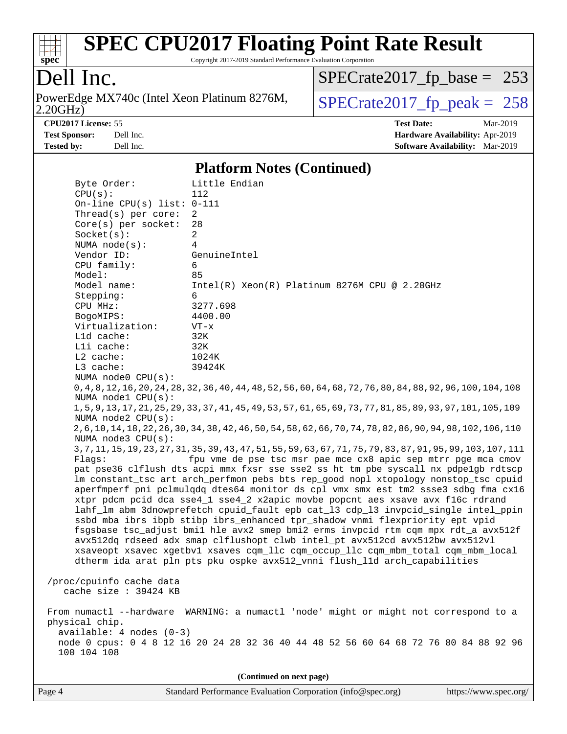

Copyright 2017-2019 Standard Performance Evaluation Corporation

## Dell Inc.

2.20GHz) PowerEdge MX740c (Intel Xeon Platinum 8276M,  $SPECrate2017_fp\_peak = 258$ 

[SPECrate2017\\_fp\\_base =](http://www.spec.org/auto/cpu2017/Docs/result-fields.html#SPECrate2017fpbase) 253

**[CPU2017 License:](http://www.spec.org/auto/cpu2017/Docs/result-fields.html#CPU2017License)** 55 **[Test Date:](http://www.spec.org/auto/cpu2017/Docs/result-fields.html#TestDate)** Mar-2019 **[Test Sponsor:](http://www.spec.org/auto/cpu2017/Docs/result-fields.html#TestSponsor)** Dell Inc. **[Hardware Availability:](http://www.spec.org/auto/cpu2017/Docs/result-fields.html#HardwareAvailability)** Apr-2019 **[Tested by:](http://www.spec.org/auto/cpu2017/Docs/result-fields.html#Testedby)** Dell Inc. **[Software Availability:](http://www.spec.org/auto/cpu2017/Docs/result-fields.html#SoftwareAvailability)** Mar-2019

#### **[Platform Notes \(Continued\)](http://www.spec.org/auto/cpu2017/Docs/result-fields.html#PlatformNotes)**

|                                                                                      | Byte Order:                                                                         | Little Endian                                                                                                   |  |  |  |  |  |
|--------------------------------------------------------------------------------------|-------------------------------------------------------------------------------------|-----------------------------------------------------------------------------------------------------------------|--|--|--|--|--|
|                                                                                      | CPU(s):                                                                             | 112                                                                                                             |  |  |  |  |  |
|                                                                                      | On-line CPU(s) list: $0-111$                                                        |                                                                                                                 |  |  |  |  |  |
|                                                                                      | Thread(s) per core:                                                                 | $\overline{2}$                                                                                                  |  |  |  |  |  |
|                                                                                      | Core(s) per socket:                                                                 | 28                                                                                                              |  |  |  |  |  |
|                                                                                      | Socket(s):                                                                          | $\overline{2}$                                                                                                  |  |  |  |  |  |
|                                                                                      | NUMA $node(s):$                                                                     | 4                                                                                                               |  |  |  |  |  |
|                                                                                      | Vendor ID:                                                                          | GenuineIntel                                                                                                    |  |  |  |  |  |
|                                                                                      | CPU family:                                                                         | 6                                                                                                               |  |  |  |  |  |
|                                                                                      | Model:                                                                              | 85                                                                                                              |  |  |  |  |  |
|                                                                                      | Model name:                                                                         | $Intel(R) Xeon(R) Platinum 8276M CPU @ 2.20GHz$                                                                 |  |  |  |  |  |
|                                                                                      | Stepping:                                                                           | 6                                                                                                               |  |  |  |  |  |
|                                                                                      | CPU MHz:                                                                            | 3277.698                                                                                                        |  |  |  |  |  |
|                                                                                      | BogoMIPS:                                                                           | 4400.00                                                                                                         |  |  |  |  |  |
|                                                                                      | Virtualization:                                                                     | $VT - x$                                                                                                        |  |  |  |  |  |
|                                                                                      | Lld cache:                                                                          | 32K                                                                                                             |  |  |  |  |  |
|                                                                                      | Lli cache:                                                                          | 32K                                                                                                             |  |  |  |  |  |
|                                                                                      | L2 cache:                                                                           | 1024K                                                                                                           |  |  |  |  |  |
|                                                                                      | L3 cache:                                                                           | 39424K                                                                                                          |  |  |  |  |  |
|                                                                                      | NUMA node0 CPU(s):                                                                  |                                                                                                                 |  |  |  |  |  |
|                                                                                      |                                                                                     | 0, 4, 8, 12, 16, 20, 24, 28, 32, 36, 40, 44, 48, 52, 56, 60, 64, 68, 72, 76, 80, 84, 88, 92, 96, 100, 104, 108  |  |  |  |  |  |
|                                                                                      | NUMA node1 CPU(s):                                                                  |                                                                                                                 |  |  |  |  |  |
|                                                                                      |                                                                                     | 1, 5, 9, 13, 17, 21, 25, 29, 33, 37, 41, 45, 49, 53, 57, 61, 65, 69, 73, 77, 81, 85, 89, 93, 97, 101, 105, 109  |  |  |  |  |  |
|                                                                                      | NUMA $node2$ $CPU(s)$ :                                                             |                                                                                                                 |  |  |  |  |  |
|                                                                                      |                                                                                     | 2, 6, 10, 14, 18, 22, 26, 30, 34, 38, 42, 46, 50, 54, 58, 62, 66, 70, 74, 78, 82, 86, 90, 94, 98, 102, 106, 110 |  |  |  |  |  |
|                                                                                      | NUMA node3 CPU(s):                                                                  |                                                                                                                 |  |  |  |  |  |
|                                                                                      |                                                                                     | 3, 7, 11, 15, 19, 23, 27, 31, 35, 39, 43, 47, 51, 55, 59, 63, 67, 71, 75, 79, 83, 87, 91, 95, 99, 103, 107, 111 |  |  |  |  |  |
|                                                                                      | Flaqs:                                                                              | fpu vme de pse tsc msr pae mce cx8 apic sep mtrr pge mca cmov                                                   |  |  |  |  |  |
|                                                                                      | pat pse36 clflush dts acpi mmx fxsr sse sse2 ss ht tm pbe syscall nx pdpelgb rdtscp |                                                                                                                 |  |  |  |  |  |
|                                                                                      |                                                                                     | lm constant_tsc art arch_perfmon pebs bts rep_good nopl xtopology nonstop_tsc cpuid                             |  |  |  |  |  |
|                                                                                      |                                                                                     | aperfmperf pni pclmulqdq dtes64 monitor ds_cpl vmx smx est tm2 ssse3 sdbg fma cx16                              |  |  |  |  |  |
|                                                                                      | xtpr pdcm pcid dca sse4_1 sse4_2 x2apic movbe popcnt aes xsave avx f16c rdrand      |                                                                                                                 |  |  |  |  |  |
| lahf_lm abm 3dnowprefetch cpuid_fault epb cat_13 cdp_13 invpcid_single intel_ppin    |                                                                                     |                                                                                                                 |  |  |  |  |  |
|                                                                                      | ssbd mba ibrs ibpb stibp ibrs_enhanced tpr_shadow vnmi flexpriority ept vpid        |                                                                                                                 |  |  |  |  |  |
|                                                                                      |                                                                                     | fsgsbase tsc_adjust bmil hle avx2 smep bmi2 erms invpcid rtm cqm mpx rdt_a avx512f                              |  |  |  |  |  |
|                                                                                      |                                                                                     | avx512dq rdseed adx smap clflushopt clwb intel_pt avx512cd avx512bw avx512vl                                    |  |  |  |  |  |
|                                                                                      |                                                                                     | xsaveopt xsavec xgetbvl xsaves cqm_llc cqm_occup_llc cqm_mbm_total cqm_mbm_local                                |  |  |  |  |  |
|                                                                                      |                                                                                     | dtherm ida arat pln pts pku ospke avx512_vnni flush_lld arch_capabilities                                       |  |  |  |  |  |
|                                                                                      |                                                                                     |                                                                                                                 |  |  |  |  |  |
| /proc/cpuinfo cache data                                                             |                                                                                     |                                                                                                                 |  |  |  |  |  |
| cache size : 39424 KB                                                                |                                                                                     |                                                                                                                 |  |  |  |  |  |
|                                                                                      |                                                                                     |                                                                                                                 |  |  |  |  |  |
| From numactl --hardware WARNING: a numactl 'node' might or might not correspond to a |                                                                                     |                                                                                                                 |  |  |  |  |  |
| physical chip.                                                                       |                                                                                     |                                                                                                                 |  |  |  |  |  |
| available: 4 nodes (0-3)                                                             |                                                                                     |                                                                                                                 |  |  |  |  |  |
| node 0 cpus: 0 4 8 12 16 20 24 28 32 36 40 44 48 52 56 60 64 68 72 76 80 84 88 92 96 |                                                                                     |                                                                                                                 |  |  |  |  |  |
|                                                                                      | 100 104 108                                                                         |                                                                                                                 |  |  |  |  |  |
|                                                                                      |                                                                                     |                                                                                                                 |  |  |  |  |  |
|                                                                                      | (Continued on next page)                                                            |                                                                                                                 |  |  |  |  |  |
|                                                                                      |                                                                                     |                                                                                                                 |  |  |  |  |  |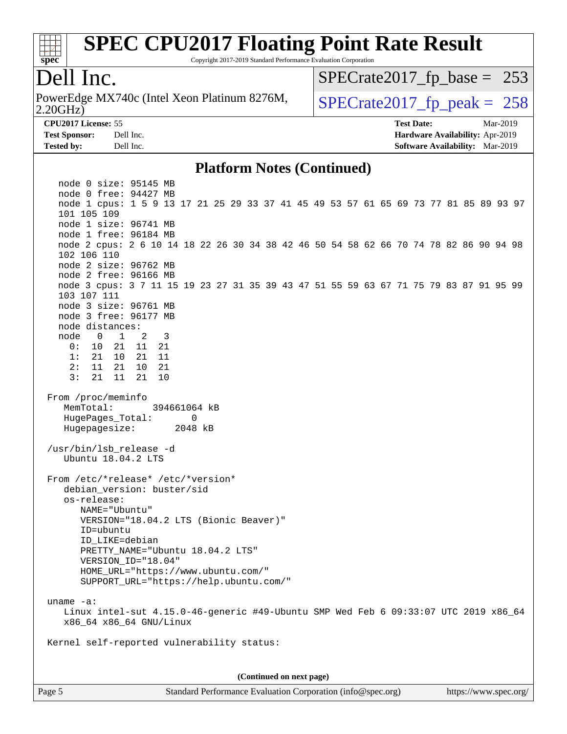

Copyright 2017-2019 Standard Performance Evaluation Corporation

### Dell Inc.

2.20GHz) PowerEdge MX740c (Intel Xeon Platinum 8276M,  $\big|$  [SPECrate2017\\_fp\\_peak =](http://www.spec.org/auto/cpu2017/Docs/result-fields.html#SPECrate2017fppeak) 258

[SPECrate2017\\_fp\\_base =](http://www.spec.org/auto/cpu2017/Docs/result-fields.html#SPECrate2017fpbase) 253

**[Tested by:](http://www.spec.org/auto/cpu2017/Docs/result-fields.html#Testedby)** Dell Inc. **[Software Availability:](http://www.spec.org/auto/cpu2017/Docs/result-fields.html#SoftwareAvailability)** Mar-2019

**[CPU2017 License:](http://www.spec.org/auto/cpu2017/Docs/result-fields.html#CPU2017License)** 55 **[Test Date:](http://www.spec.org/auto/cpu2017/Docs/result-fields.html#TestDate)** Mar-2019 **[Test Sponsor:](http://www.spec.org/auto/cpu2017/Docs/result-fields.html#TestSponsor)** Dell Inc. **[Hardware Availability:](http://www.spec.org/auto/cpu2017/Docs/result-fields.html#HardwareAvailability)** Apr-2019

#### **[Platform Notes \(Continued\)](http://www.spec.org/auto/cpu2017/Docs/result-fields.html#PlatformNotes)**

 node 0 size: 95145 MB node 0 free: 94427 MB node 1 cpus: 1 5 9 13 17 21 25 29 33 37 41 45 49 53 57 61 65 69 73 77 81 85 89 93 97 101 105 109 node 1 size: 96741 MB node 1 free: 96184 MB node 2 cpus: 2 6 10 14 18 22 26 30 34 38 42 46 50 54 58 62 66 70 74 78 82 86 90 94 98 102 106 110 node 2 size: 96762 MB node 2 free: 96166 MB node 3 cpus: 3 7 11 15 19 23 27 31 35 39 43 47 51 55 59 63 67 71 75 79 83 87 91 95 99 103 107 111 node 3 size: 96761 MB node 3 free: 96177 MB node distances: node 0 1 2 3 0: 10 21 11 21 1: 21 10 21 11 2: 11 21 10 21 3: 21 11 21 10 From /proc/meminfo MemTotal: 394661064 kB HugePages Total: 0 Hugepagesize: 2048 kB /usr/bin/lsb\_release -d Ubuntu 18.04.2 LTS From /etc/\*release\* /etc/\*version\* debian\_version: buster/sid os-release: NAME="Ubuntu" VERSION="18.04.2 LTS (Bionic Beaver)" ID=ubuntu ID\_LIKE=debian PRETTY\_NAME="Ubuntu 18.04.2 LTS" VERSION\_ID="18.04" HOME\_URL="<https://www.ubuntu.com/"> SUPPORT\_URL="<https://help.ubuntu.com/"> uname -a: Linux intel-sut 4.15.0-46-generic #49-Ubuntu SMP Wed Feb 6 09:33:07 UTC 2019 x86\_64 x86\_64 x86\_64 GNU/Linux Kernel self-reported vulnerability status: **(Continued on next page)**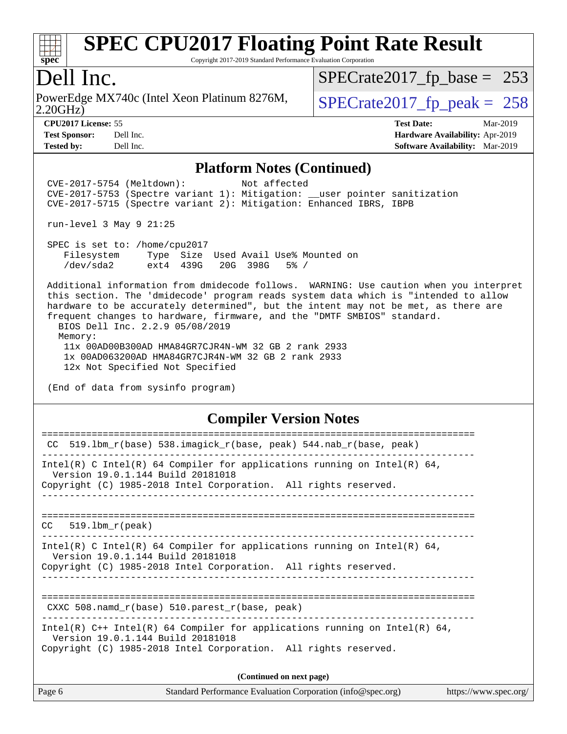

Copyright 2017-2019 Standard Performance Evaluation Corporation

### Dell Inc.

2.20GHz) PowerEdge MX740c (Intel Xeon Platinum 8276M,  $\big|$  [SPECrate2017\\_fp\\_peak =](http://www.spec.org/auto/cpu2017/Docs/result-fields.html#SPECrate2017fppeak) 258

[SPECrate2017\\_fp\\_base =](http://www.spec.org/auto/cpu2017/Docs/result-fields.html#SPECrate2017fpbase) 253

**[CPU2017 License:](http://www.spec.org/auto/cpu2017/Docs/result-fields.html#CPU2017License)** 55 **[Test Date:](http://www.spec.org/auto/cpu2017/Docs/result-fields.html#TestDate)** Mar-2019 **[Test Sponsor:](http://www.spec.org/auto/cpu2017/Docs/result-fields.html#TestSponsor)** Dell Inc. **[Hardware Availability:](http://www.spec.org/auto/cpu2017/Docs/result-fields.html#HardwareAvailability)** Apr-2019 **[Tested by:](http://www.spec.org/auto/cpu2017/Docs/result-fields.html#Testedby)** Dell Inc. **[Software Availability:](http://www.spec.org/auto/cpu2017/Docs/result-fields.html#SoftwareAvailability)** Mar-2019

#### **[Platform Notes \(Continued\)](http://www.spec.org/auto/cpu2017/Docs/result-fields.html#PlatformNotes)**

 CVE-2017-5754 (Meltdown): Not affected CVE-2017-5753 (Spectre variant 1): Mitigation: \_\_user pointer sanitization CVE-2017-5715 (Spectre variant 2): Mitigation: Enhanced IBRS, IBPB

run-level 3 May 9 21:25

 SPEC is set to: /home/cpu2017 Filesystem Type Size Used Avail Use% Mounted on /dev/sda2 ext4 439G 20G 398G 5% /

 Additional information from dmidecode follows. WARNING: Use caution when you interpret this section. The 'dmidecode' program reads system data which is "intended to allow hardware to be accurately determined", but the intent may not be met, as there are frequent changes to hardware, firmware, and the "DMTF SMBIOS" standard. BIOS Dell Inc. 2.2.9 05/08/2019 Memory: 11x 00AD00B300AD HMA84GR7CJR4N-WM 32 GB 2 rank 2933 1x 00AD063200AD HMA84GR7CJR4N-WM 32 GB 2 rank 2933

12x Not Specified Not Specified

(End of data from sysinfo program)

#### **[Compiler Version Notes](http://www.spec.org/auto/cpu2017/Docs/result-fields.html#CompilerVersionNotes)**

| Page 6                 | Standard Performance Evaluation Corporation (info@spec.org)<br>https://www.spec.org/                                                                                                 |
|------------------------|--------------------------------------------------------------------------------------------------------------------------------------------------------------------------------------|
|                        | (Continued on next page)                                                                                                                                                             |
|                        | Intel(R) $C++$ Intel(R) 64 Compiler for applications running on Intel(R) 64,<br>Version 19.0.1.144 Build 20181018<br>Copyright (C) 1985-2018 Intel Corporation. All rights reserved. |
|                        | CXXC 508. namd $r(base)$ 510. parest $r(base, peak)$                                                                                                                                 |
|                        | Intel(R) C Intel(R) 64 Compiler for applications running on Intel(R) 64,<br>Version 19.0.1.144 Build 20181018<br>Copyright (C) 1985-2018 Intel Corporation. All rights reserved.     |
| 519.1bm r(peak)<br>CC. |                                                                                                                                                                                      |
|                        | Intel(R) C Intel(R) 64 Compiler for applications running on Intel(R) 64,<br>Version 19.0.1.144 Build 20181018<br>Copyright (C) 1985-2018 Intel Corporation. All rights reserved.     |
|                        | CC 519.1bm_r(base) 538.imagick_r(base, peak) 544.nab_r(base, peak)                                                                                                                   |
|                        |                                                                                                                                                                                      |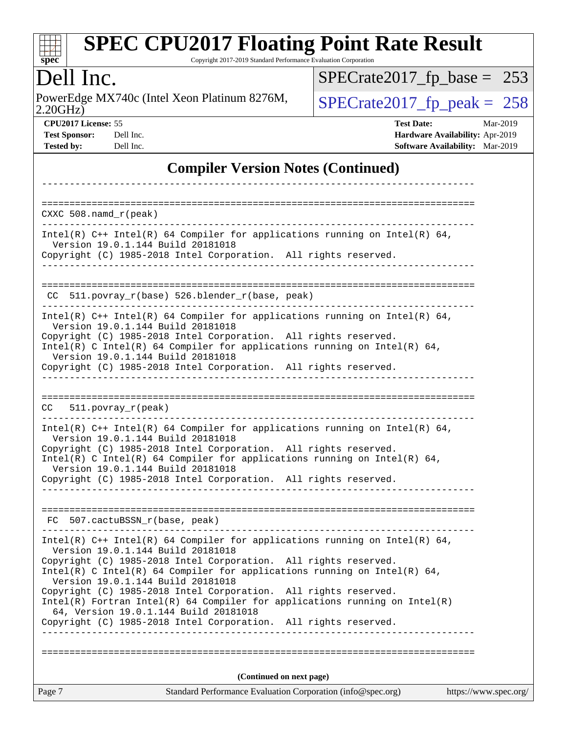| <b>SPEC CPU2017 Floating Point Rate Result</b>                  |
|-----------------------------------------------------------------|
| Copyright 2017-2019 Standard Performance Evaluation Corporation |

## Dell Inc.

**[spec](http://www.spec.org/)**

PowerEdge MX740c (Intel Xeon Platinum 8276M, 2.20GHz)

 $SPECTate 2017_fp\_peak = 258$ [SPECrate2017\\_fp\\_base =](http://www.spec.org/auto/cpu2017/Docs/result-fields.html#SPECrate2017fpbase) 253

**[CPU2017 License:](http://www.spec.org/auto/cpu2017/Docs/result-fields.html#CPU2017License)** 55 **[Test Date:](http://www.spec.org/auto/cpu2017/Docs/result-fields.html#TestDate)** Mar-2019 **[Test Sponsor:](http://www.spec.org/auto/cpu2017/Docs/result-fields.html#TestSponsor)** Dell Inc. **[Hardware Availability:](http://www.spec.org/auto/cpu2017/Docs/result-fields.html#HardwareAvailability)** Apr-2019 **[Tested by:](http://www.spec.org/auto/cpu2017/Docs/result-fields.html#Testedby)** Dell Inc. **[Software Availability:](http://www.spec.org/auto/cpu2017/Docs/result-fields.html#SoftwareAvailability)** Mar-2019

### **[Compiler Version Notes \(Continued\)](http://www.spec.org/auto/cpu2017/Docs/result-fields.html#CompilerVersionNotes)**

| $CXXC 508.namd_r (peak)$                                                                                                                                                         |                       |
|----------------------------------------------------------------------------------------------------------------------------------------------------------------------------------|-----------------------|
|                                                                                                                                                                                  |                       |
| Intel(R) $C++$ Intel(R) 64 Compiler for applications running on Intel(R) 64,<br>Version 19.0.1.144 Build 20181018                                                                |                       |
| Copyright (C) 1985-2018 Intel Corporation. All rights reserved.                                                                                                                  |                       |
|                                                                                                                                                                                  |                       |
| $CC$ 511.povray $r(base)$ 526.blender $r(base, peak)$                                                                                                                            |                       |
| Intel(R) $C++$ Intel(R) 64 Compiler for applications running on Intel(R) 64,<br>Version 19.0.1.144 Build 20181018                                                                |                       |
| Copyright (C) 1985-2018 Intel Corporation. All rights reserved.<br>Intel(R) C Intel(R) 64 Compiler for applications running on Intel(R) 64,<br>Version 19.0.1.144 Build 20181018 |                       |
| Copyright (C) 1985-2018 Intel Corporation. All rights reserved.                                                                                                                  |                       |
|                                                                                                                                                                                  |                       |
| $CC = 511.povray_r (peak)$<br>.                                                                                                                                                  |                       |
| Intel(R) $C++$ Intel(R) 64 Compiler for applications running on Intel(R) 64,<br>Version 19.0.1.144 Build 20181018                                                                |                       |
| Copyright (C) 1985-2018 Intel Corporation. All rights reserved.<br>Intel(R) C Intel(R) 64 Compiler for applications running on Intel(R) 64,<br>Version 19.0.1.144 Build 20181018 |                       |
| Copyright (C) 1985-2018 Intel Corporation. All rights reserved.                                                                                                                  |                       |
| FC 507.cactuBSSN_r(base, peak)                                                                                                                                                   |                       |
|                                                                                                                                                                                  |                       |
| Intel(R) $C++$ Intel(R) 64 Compiler for applications running on Intel(R) 64,<br>Version 19.0.1.144 Build 20181018                                                                |                       |
| Copyright (C) 1985-2018 Intel Corporation. All rights reserved.<br>Intel(R) C Intel(R) 64 Compiler for applications running on Intel(R) 64,<br>Version 19.0.1.144 Build 20181018 |                       |
| Copyright (C) 1985-2018 Intel Corporation. All rights reserved.                                                                                                                  |                       |
| $Intel(R)$ Fortran Intel(R) 64 Compiler for applications running on Intel(R)<br>64, Version 19.0.1.144 Build 20181018                                                            |                       |
| Copyright (C) 1985-2018 Intel Corporation. All rights reserved.                                                                                                                  |                       |
|                                                                                                                                                                                  |                       |
| (Continued on next page)                                                                                                                                                         |                       |
| Standard Performance Evaluation Corporation (info@spec.org)<br>Page 7                                                                                                            | https://www.spec.org/ |
|                                                                                                                                                                                  |                       |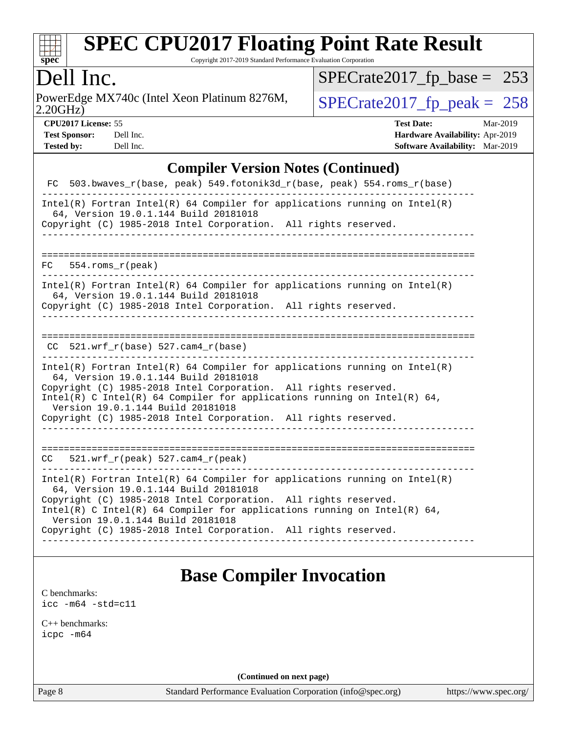

Copyright 2017-2019 Standard Performance Evaluation Corporation

## Dell Inc.

2.20GHz) PowerEdge MX740c (Intel Xeon Platinum 8276M,  $\big|$  [SPECrate2017\\_fp\\_peak =](http://www.spec.org/auto/cpu2017/Docs/result-fields.html#SPECrate2017fppeak) 258

[SPECrate2017\\_fp\\_base =](http://www.spec.org/auto/cpu2017/Docs/result-fields.html#SPECrate2017fpbase) 253

**[CPU2017 License:](http://www.spec.org/auto/cpu2017/Docs/result-fields.html#CPU2017License)** 55 **[Test Date:](http://www.spec.org/auto/cpu2017/Docs/result-fields.html#TestDate)** Mar-2019 **[Test Sponsor:](http://www.spec.org/auto/cpu2017/Docs/result-fields.html#TestSponsor)** Dell Inc. **[Hardware Availability:](http://www.spec.org/auto/cpu2017/Docs/result-fields.html#HardwareAvailability)** Apr-2019 **[Tested by:](http://www.spec.org/auto/cpu2017/Docs/result-fields.html#Testedby)** Dell Inc. **[Software Availability:](http://www.spec.org/auto/cpu2017/Docs/result-fields.html#SoftwareAvailability)** Mar-2019

#### **[Compiler Version Notes \(Continued\)](http://www.spec.org/auto/cpu2017/Docs/result-fields.html#CompilerVersionNotes)**

| FC 503.bwaves_r(base, peak) 549.fotonik3d_r(base, peak) 554.roms_r(base)                                                                                                                                                                                                                                                                                                     |
|------------------------------------------------------------------------------------------------------------------------------------------------------------------------------------------------------------------------------------------------------------------------------------------------------------------------------------------------------------------------------|
| $Intel(R)$ Fortran Intel(R) 64 Compiler for applications running on Intel(R)<br>64, Version 19.0.1.144 Build 20181018<br>Copyright (C) 1985-2018 Intel Corporation. All rights reserved.                                                                                                                                                                                     |
|                                                                                                                                                                                                                                                                                                                                                                              |
| $FC 554.rows_r (peak)$                                                                                                                                                                                                                                                                                                                                                       |
| $Intel(R)$ Fortran Intel(R) 64 Compiler for applications running on Intel(R)<br>64, Version 19.0.1.144 Build 20181018<br>Copyright (C) 1985-2018 Intel Corporation. All rights reserved.                                                                                                                                                                                     |
|                                                                                                                                                                                                                                                                                                                                                                              |
| CC $521.$ wrf r(base) 527.cam4 r(base)                                                                                                                                                                                                                                                                                                                                       |
| Intel(R) Fortran Intel(R) 64 Compiler for applications running on Intel(R)<br>64, Version 19.0.1.144 Build 20181018<br>Copyright (C) 1985-2018 Intel Corporation. All rights reserved.<br>Intel(R) C Intel(R) 64 Compiler for applications running on Intel(R) 64,<br>Version 19.0.1.144 Build 20181018<br>Copyright (C) 1985-2018 Intel Corporation. All rights reserved.   |
| $CC = 521.wrf_r(peak) 527.cam4_r(peak)$                                                                                                                                                                                                                                                                                                                                      |
| $Intel(R)$ Fortran Intel(R) 64 Compiler for applications running on Intel(R)<br>64, Version 19.0.1.144 Build 20181018<br>Copyright (C) 1985-2018 Intel Corporation. All rights reserved.<br>Intel(R) C Intel(R) 64 Compiler for applications running on Intel(R) 64,<br>Version 19.0.1.144 Build 20181018<br>Copyright (C) 1985-2018 Intel Corporation. All rights reserved. |

### **[Base Compiler Invocation](http://www.spec.org/auto/cpu2017/Docs/result-fields.html#BaseCompilerInvocation)**

[C benchmarks](http://www.spec.org/auto/cpu2017/Docs/result-fields.html#Cbenchmarks): [icc -m64 -std=c11](http://www.spec.org/cpu2017/results/res2019q3/cpu2017-20190624-15427.flags.html#user_CCbase_intel_icc_64bit_c11_33ee0cdaae7deeeab2a9725423ba97205ce30f63b9926c2519791662299b76a0318f32ddfffdc46587804de3178b4f9328c46fa7c2b0cd779d7a61945c91cd35)

[C++ benchmarks:](http://www.spec.org/auto/cpu2017/Docs/result-fields.html#CXXbenchmarks) [icpc -m64](http://www.spec.org/cpu2017/results/res2019q3/cpu2017-20190624-15427.flags.html#user_CXXbase_intel_icpc_64bit_4ecb2543ae3f1412ef961e0650ca070fec7b7afdcd6ed48761b84423119d1bf6bdf5cad15b44d48e7256388bc77273b966e5eb805aefd121eb22e9299b2ec9d9)

**(Continued on next page)**

Page 8 Standard Performance Evaluation Corporation [\(info@spec.org\)](mailto:info@spec.org) <https://www.spec.org/>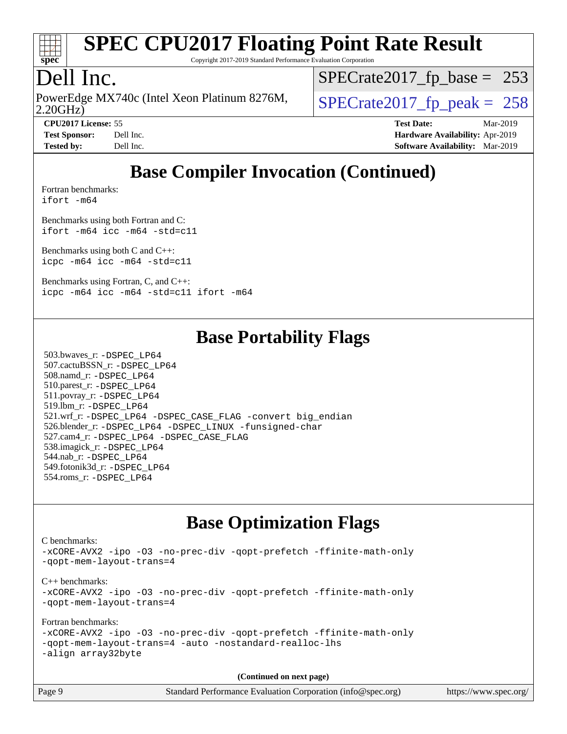

Copyright 2017-2019 Standard Performance Evaluation Corporation

## Dell Inc.

2.20GHz) PowerEdge MX740c (Intel Xeon Platinum 8276M,  $\big|$  [SPECrate2017\\_fp\\_peak =](http://www.spec.org/auto/cpu2017/Docs/result-fields.html#SPECrate2017fppeak) 258

[SPECrate2017\\_fp\\_base =](http://www.spec.org/auto/cpu2017/Docs/result-fields.html#SPECrate2017fpbase) 253

**[CPU2017 License:](http://www.spec.org/auto/cpu2017/Docs/result-fields.html#CPU2017License)** 55 **[Test Date:](http://www.spec.org/auto/cpu2017/Docs/result-fields.html#TestDate)** Mar-2019 **[Test Sponsor:](http://www.spec.org/auto/cpu2017/Docs/result-fields.html#TestSponsor)** Dell Inc. **[Hardware Availability:](http://www.spec.org/auto/cpu2017/Docs/result-fields.html#HardwareAvailability)** Apr-2019 **[Tested by:](http://www.spec.org/auto/cpu2017/Docs/result-fields.html#Testedby)** Dell Inc. **[Software Availability:](http://www.spec.org/auto/cpu2017/Docs/result-fields.html#SoftwareAvailability)** Mar-2019

## **[Base Compiler Invocation \(Continued\)](http://www.spec.org/auto/cpu2017/Docs/result-fields.html#BaseCompilerInvocation)**

[Fortran benchmarks](http://www.spec.org/auto/cpu2017/Docs/result-fields.html#Fortranbenchmarks): [ifort -m64](http://www.spec.org/cpu2017/results/res2019q3/cpu2017-20190624-15427.flags.html#user_FCbase_intel_ifort_64bit_24f2bb282fbaeffd6157abe4f878425411749daecae9a33200eee2bee2fe76f3b89351d69a8130dd5949958ce389cf37ff59a95e7a40d588e8d3a57e0c3fd751)

[Benchmarks using both Fortran and C](http://www.spec.org/auto/cpu2017/Docs/result-fields.html#BenchmarksusingbothFortranandC): [ifort -m64](http://www.spec.org/cpu2017/results/res2019q3/cpu2017-20190624-15427.flags.html#user_CC_FCbase_intel_ifort_64bit_24f2bb282fbaeffd6157abe4f878425411749daecae9a33200eee2bee2fe76f3b89351d69a8130dd5949958ce389cf37ff59a95e7a40d588e8d3a57e0c3fd751) [icc -m64 -std=c11](http://www.spec.org/cpu2017/results/res2019q3/cpu2017-20190624-15427.flags.html#user_CC_FCbase_intel_icc_64bit_c11_33ee0cdaae7deeeab2a9725423ba97205ce30f63b9926c2519791662299b76a0318f32ddfffdc46587804de3178b4f9328c46fa7c2b0cd779d7a61945c91cd35)

[Benchmarks using both C and C++](http://www.spec.org/auto/cpu2017/Docs/result-fields.html#BenchmarksusingbothCandCXX): [icpc -m64](http://www.spec.org/cpu2017/results/res2019q3/cpu2017-20190624-15427.flags.html#user_CC_CXXbase_intel_icpc_64bit_4ecb2543ae3f1412ef961e0650ca070fec7b7afdcd6ed48761b84423119d1bf6bdf5cad15b44d48e7256388bc77273b966e5eb805aefd121eb22e9299b2ec9d9) [icc -m64 -std=c11](http://www.spec.org/cpu2017/results/res2019q3/cpu2017-20190624-15427.flags.html#user_CC_CXXbase_intel_icc_64bit_c11_33ee0cdaae7deeeab2a9725423ba97205ce30f63b9926c2519791662299b76a0318f32ddfffdc46587804de3178b4f9328c46fa7c2b0cd779d7a61945c91cd35)

[Benchmarks using Fortran, C, and C++:](http://www.spec.org/auto/cpu2017/Docs/result-fields.html#BenchmarksusingFortranCandCXX) [icpc -m64](http://www.spec.org/cpu2017/results/res2019q3/cpu2017-20190624-15427.flags.html#user_CC_CXX_FCbase_intel_icpc_64bit_4ecb2543ae3f1412ef961e0650ca070fec7b7afdcd6ed48761b84423119d1bf6bdf5cad15b44d48e7256388bc77273b966e5eb805aefd121eb22e9299b2ec9d9) [icc -m64 -std=c11](http://www.spec.org/cpu2017/results/res2019q3/cpu2017-20190624-15427.flags.html#user_CC_CXX_FCbase_intel_icc_64bit_c11_33ee0cdaae7deeeab2a9725423ba97205ce30f63b9926c2519791662299b76a0318f32ddfffdc46587804de3178b4f9328c46fa7c2b0cd779d7a61945c91cd35) [ifort -m64](http://www.spec.org/cpu2017/results/res2019q3/cpu2017-20190624-15427.flags.html#user_CC_CXX_FCbase_intel_ifort_64bit_24f2bb282fbaeffd6157abe4f878425411749daecae9a33200eee2bee2fe76f3b89351d69a8130dd5949958ce389cf37ff59a95e7a40d588e8d3a57e0c3fd751)

### **[Base Portability Flags](http://www.spec.org/auto/cpu2017/Docs/result-fields.html#BasePortabilityFlags)**

 503.bwaves\_r: [-DSPEC\\_LP64](http://www.spec.org/cpu2017/results/res2019q3/cpu2017-20190624-15427.flags.html#suite_basePORTABILITY503_bwaves_r_DSPEC_LP64) 507.cactuBSSN\_r: [-DSPEC\\_LP64](http://www.spec.org/cpu2017/results/res2019q3/cpu2017-20190624-15427.flags.html#suite_basePORTABILITY507_cactuBSSN_r_DSPEC_LP64) 508.namd\_r: [-DSPEC\\_LP64](http://www.spec.org/cpu2017/results/res2019q3/cpu2017-20190624-15427.flags.html#suite_basePORTABILITY508_namd_r_DSPEC_LP64) 510.parest\_r: [-DSPEC\\_LP64](http://www.spec.org/cpu2017/results/res2019q3/cpu2017-20190624-15427.flags.html#suite_basePORTABILITY510_parest_r_DSPEC_LP64) 511.povray\_r: [-DSPEC\\_LP64](http://www.spec.org/cpu2017/results/res2019q3/cpu2017-20190624-15427.flags.html#suite_basePORTABILITY511_povray_r_DSPEC_LP64) 519.lbm\_r: [-DSPEC\\_LP64](http://www.spec.org/cpu2017/results/res2019q3/cpu2017-20190624-15427.flags.html#suite_basePORTABILITY519_lbm_r_DSPEC_LP64) 521.wrf\_r: [-DSPEC\\_LP64](http://www.spec.org/cpu2017/results/res2019q3/cpu2017-20190624-15427.flags.html#suite_basePORTABILITY521_wrf_r_DSPEC_LP64) [-DSPEC\\_CASE\\_FLAG](http://www.spec.org/cpu2017/results/res2019q3/cpu2017-20190624-15427.flags.html#b521.wrf_r_baseCPORTABILITY_DSPEC_CASE_FLAG) [-convert big\\_endian](http://www.spec.org/cpu2017/results/res2019q3/cpu2017-20190624-15427.flags.html#user_baseFPORTABILITY521_wrf_r_convert_big_endian_c3194028bc08c63ac5d04de18c48ce6d347e4e562e8892b8bdbdc0214820426deb8554edfa529a3fb25a586e65a3d812c835984020483e7e73212c4d31a38223) 526.blender\_r: [-DSPEC\\_LP64](http://www.spec.org/cpu2017/results/res2019q3/cpu2017-20190624-15427.flags.html#suite_basePORTABILITY526_blender_r_DSPEC_LP64) [-DSPEC\\_LINUX](http://www.spec.org/cpu2017/results/res2019q3/cpu2017-20190624-15427.flags.html#b526.blender_r_baseCPORTABILITY_DSPEC_LINUX) [-funsigned-char](http://www.spec.org/cpu2017/results/res2019q3/cpu2017-20190624-15427.flags.html#user_baseCPORTABILITY526_blender_r_force_uchar_40c60f00ab013830e2dd6774aeded3ff59883ba5a1fc5fc14077f794d777847726e2a5858cbc7672e36e1b067e7e5c1d9a74f7176df07886a243d7cc18edfe67) 527.cam4\_r: [-DSPEC\\_LP64](http://www.spec.org/cpu2017/results/res2019q3/cpu2017-20190624-15427.flags.html#suite_basePORTABILITY527_cam4_r_DSPEC_LP64) [-DSPEC\\_CASE\\_FLAG](http://www.spec.org/cpu2017/results/res2019q3/cpu2017-20190624-15427.flags.html#b527.cam4_r_baseCPORTABILITY_DSPEC_CASE_FLAG) 538.imagick\_r: [-DSPEC\\_LP64](http://www.spec.org/cpu2017/results/res2019q3/cpu2017-20190624-15427.flags.html#suite_basePORTABILITY538_imagick_r_DSPEC_LP64) 544.nab\_r: [-DSPEC\\_LP64](http://www.spec.org/cpu2017/results/res2019q3/cpu2017-20190624-15427.flags.html#suite_basePORTABILITY544_nab_r_DSPEC_LP64) 549.fotonik3d\_r: [-DSPEC\\_LP64](http://www.spec.org/cpu2017/results/res2019q3/cpu2017-20190624-15427.flags.html#suite_basePORTABILITY549_fotonik3d_r_DSPEC_LP64) 554.roms\_r: [-DSPEC\\_LP64](http://www.spec.org/cpu2017/results/res2019q3/cpu2017-20190624-15427.flags.html#suite_basePORTABILITY554_roms_r_DSPEC_LP64)

### **[Base Optimization Flags](http://www.spec.org/auto/cpu2017/Docs/result-fields.html#BaseOptimizationFlags)**

[C benchmarks](http://www.spec.org/auto/cpu2017/Docs/result-fields.html#Cbenchmarks): [-xCORE-AVX2](http://www.spec.org/cpu2017/results/res2019q3/cpu2017-20190624-15427.flags.html#user_CCbase_f-xCORE-AVX2) [-ipo](http://www.spec.org/cpu2017/results/res2019q3/cpu2017-20190624-15427.flags.html#user_CCbase_f-ipo) [-O3](http://www.spec.org/cpu2017/results/res2019q3/cpu2017-20190624-15427.flags.html#user_CCbase_f-O3) [-no-prec-div](http://www.spec.org/cpu2017/results/res2019q3/cpu2017-20190624-15427.flags.html#user_CCbase_f-no-prec-div) [-qopt-prefetch](http://www.spec.org/cpu2017/results/res2019q3/cpu2017-20190624-15427.flags.html#user_CCbase_f-qopt-prefetch) [-ffinite-math-only](http://www.spec.org/cpu2017/results/res2019q3/cpu2017-20190624-15427.flags.html#user_CCbase_f_finite_math_only_cb91587bd2077682c4b38af759c288ed7c732db004271a9512da14a4f8007909a5f1427ecbf1a0fb78ff2a814402c6114ac565ca162485bbcae155b5e4258871) [-qopt-mem-layout-trans=4](http://www.spec.org/cpu2017/results/res2019q3/cpu2017-20190624-15427.flags.html#user_CCbase_f-qopt-mem-layout-trans_fa39e755916c150a61361b7846f310bcdf6f04e385ef281cadf3647acec3f0ae266d1a1d22d972a7087a248fd4e6ca390a3634700869573d231a252c784941a8) [C++ benchmarks:](http://www.spec.org/auto/cpu2017/Docs/result-fields.html#CXXbenchmarks) [-xCORE-AVX2](http://www.spec.org/cpu2017/results/res2019q3/cpu2017-20190624-15427.flags.html#user_CXXbase_f-xCORE-AVX2) [-ipo](http://www.spec.org/cpu2017/results/res2019q3/cpu2017-20190624-15427.flags.html#user_CXXbase_f-ipo) [-O3](http://www.spec.org/cpu2017/results/res2019q3/cpu2017-20190624-15427.flags.html#user_CXXbase_f-O3) [-no-prec-div](http://www.spec.org/cpu2017/results/res2019q3/cpu2017-20190624-15427.flags.html#user_CXXbase_f-no-prec-div) [-qopt-prefetch](http://www.spec.org/cpu2017/results/res2019q3/cpu2017-20190624-15427.flags.html#user_CXXbase_f-qopt-prefetch) [-ffinite-math-only](http://www.spec.org/cpu2017/results/res2019q3/cpu2017-20190624-15427.flags.html#user_CXXbase_f_finite_math_only_cb91587bd2077682c4b38af759c288ed7c732db004271a9512da14a4f8007909a5f1427ecbf1a0fb78ff2a814402c6114ac565ca162485bbcae155b5e4258871) [-qopt-mem-layout-trans=4](http://www.spec.org/cpu2017/results/res2019q3/cpu2017-20190624-15427.flags.html#user_CXXbase_f-qopt-mem-layout-trans_fa39e755916c150a61361b7846f310bcdf6f04e385ef281cadf3647acec3f0ae266d1a1d22d972a7087a248fd4e6ca390a3634700869573d231a252c784941a8) [Fortran benchmarks](http://www.spec.org/auto/cpu2017/Docs/result-fields.html#Fortranbenchmarks): [-xCORE-AVX2](http://www.spec.org/cpu2017/results/res2019q3/cpu2017-20190624-15427.flags.html#user_FCbase_f-xCORE-AVX2) [-ipo](http://www.spec.org/cpu2017/results/res2019q3/cpu2017-20190624-15427.flags.html#user_FCbase_f-ipo) [-O3](http://www.spec.org/cpu2017/results/res2019q3/cpu2017-20190624-15427.flags.html#user_FCbase_f-O3) [-no-prec-div](http://www.spec.org/cpu2017/results/res2019q3/cpu2017-20190624-15427.flags.html#user_FCbase_f-no-prec-div) [-qopt-prefetch](http://www.spec.org/cpu2017/results/res2019q3/cpu2017-20190624-15427.flags.html#user_FCbase_f-qopt-prefetch) [-ffinite-math-only](http://www.spec.org/cpu2017/results/res2019q3/cpu2017-20190624-15427.flags.html#user_FCbase_f_finite_math_only_cb91587bd2077682c4b38af759c288ed7c732db004271a9512da14a4f8007909a5f1427ecbf1a0fb78ff2a814402c6114ac565ca162485bbcae155b5e4258871) [-qopt-mem-layout-trans=4](http://www.spec.org/cpu2017/results/res2019q3/cpu2017-20190624-15427.flags.html#user_FCbase_f-qopt-mem-layout-trans_fa39e755916c150a61361b7846f310bcdf6f04e385ef281cadf3647acec3f0ae266d1a1d22d972a7087a248fd4e6ca390a3634700869573d231a252c784941a8) [-auto](http://www.spec.org/cpu2017/results/res2019q3/cpu2017-20190624-15427.flags.html#user_FCbase_f-auto) [-nostandard-realloc-lhs](http://www.spec.org/cpu2017/results/res2019q3/cpu2017-20190624-15427.flags.html#user_FCbase_f_2003_std_realloc_82b4557e90729c0f113870c07e44d33d6f5a304b4f63d4c15d2d0f1fab99f5daaed73bdb9275d9ae411527f28b936061aa8b9c8f2d63842963b95c9dd6426b8a) [-align array32byte](http://www.spec.org/cpu2017/results/res2019q3/cpu2017-20190624-15427.flags.html#user_FCbase_align_array32byte_b982fe038af199962ba9a80c053b8342c548c85b40b8e86eb3cc33dee0d7986a4af373ac2d51c3f7cf710a18d62fdce2948f201cd044323541f22fc0fffc51b6)

**(Continued on next page)**

| Page 9 | Standard Performance Evaluation Corporation (info@spec.org) | https://www.spec.org/ |
|--------|-------------------------------------------------------------|-----------------------|
|        |                                                             |                       |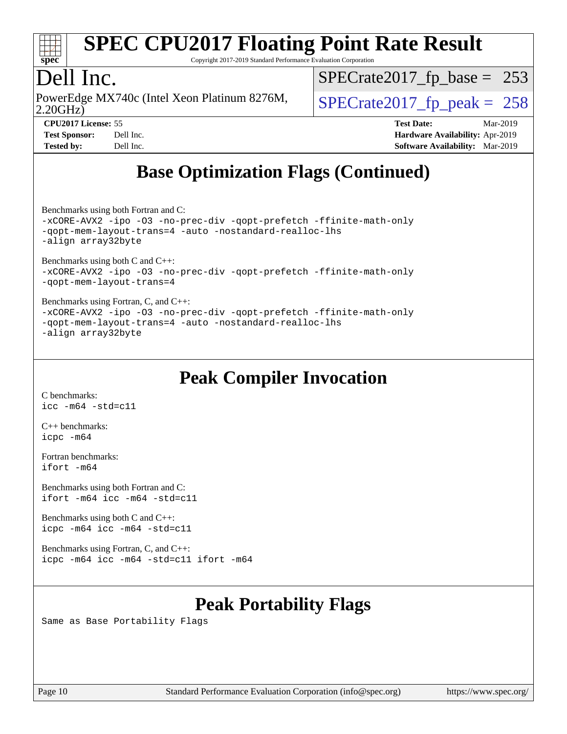

Copyright 2017-2019 Standard Performance Evaluation Corporation

## Dell Inc.

2.20GHz) PowerEdge MX740c (Intel Xeon Platinum 8276M,  $\big|$  [SPECrate2017\\_fp\\_peak =](http://www.spec.org/auto/cpu2017/Docs/result-fields.html#SPECrate2017fppeak) 258

[SPECrate2017\\_fp\\_base =](http://www.spec.org/auto/cpu2017/Docs/result-fields.html#SPECrate2017fpbase) 253

**[CPU2017 License:](http://www.spec.org/auto/cpu2017/Docs/result-fields.html#CPU2017License)** 55 **[Test Date:](http://www.spec.org/auto/cpu2017/Docs/result-fields.html#TestDate)** Mar-2019 **[Test Sponsor:](http://www.spec.org/auto/cpu2017/Docs/result-fields.html#TestSponsor)** Dell Inc. **[Hardware Availability:](http://www.spec.org/auto/cpu2017/Docs/result-fields.html#HardwareAvailability)** Apr-2019 **[Tested by:](http://www.spec.org/auto/cpu2017/Docs/result-fields.html#Testedby)** Dell Inc. **[Software Availability:](http://www.spec.org/auto/cpu2017/Docs/result-fields.html#SoftwareAvailability)** Mar-2019

## **[Base Optimization Flags \(Continued\)](http://www.spec.org/auto/cpu2017/Docs/result-fields.html#BaseOptimizationFlags)**

[Benchmarks using both Fortran and C](http://www.spec.org/auto/cpu2017/Docs/result-fields.html#BenchmarksusingbothFortranandC):

[-xCORE-AVX2](http://www.spec.org/cpu2017/results/res2019q3/cpu2017-20190624-15427.flags.html#user_CC_FCbase_f-xCORE-AVX2) [-ipo](http://www.spec.org/cpu2017/results/res2019q3/cpu2017-20190624-15427.flags.html#user_CC_FCbase_f-ipo) [-O3](http://www.spec.org/cpu2017/results/res2019q3/cpu2017-20190624-15427.flags.html#user_CC_FCbase_f-O3) [-no-prec-div](http://www.spec.org/cpu2017/results/res2019q3/cpu2017-20190624-15427.flags.html#user_CC_FCbase_f-no-prec-div) [-qopt-prefetch](http://www.spec.org/cpu2017/results/res2019q3/cpu2017-20190624-15427.flags.html#user_CC_FCbase_f-qopt-prefetch) [-ffinite-math-only](http://www.spec.org/cpu2017/results/res2019q3/cpu2017-20190624-15427.flags.html#user_CC_FCbase_f_finite_math_only_cb91587bd2077682c4b38af759c288ed7c732db004271a9512da14a4f8007909a5f1427ecbf1a0fb78ff2a814402c6114ac565ca162485bbcae155b5e4258871) [-qopt-mem-layout-trans=4](http://www.spec.org/cpu2017/results/res2019q3/cpu2017-20190624-15427.flags.html#user_CC_FCbase_f-qopt-mem-layout-trans_fa39e755916c150a61361b7846f310bcdf6f04e385ef281cadf3647acec3f0ae266d1a1d22d972a7087a248fd4e6ca390a3634700869573d231a252c784941a8) [-auto](http://www.spec.org/cpu2017/results/res2019q3/cpu2017-20190624-15427.flags.html#user_CC_FCbase_f-auto) [-nostandard-realloc-lhs](http://www.spec.org/cpu2017/results/res2019q3/cpu2017-20190624-15427.flags.html#user_CC_FCbase_f_2003_std_realloc_82b4557e90729c0f113870c07e44d33d6f5a304b4f63d4c15d2d0f1fab99f5daaed73bdb9275d9ae411527f28b936061aa8b9c8f2d63842963b95c9dd6426b8a) [-align array32byte](http://www.spec.org/cpu2017/results/res2019q3/cpu2017-20190624-15427.flags.html#user_CC_FCbase_align_array32byte_b982fe038af199962ba9a80c053b8342c548c85b40b8e86eb3cc33dee0d7986a4af373ac2d51c3f7cf710a18d62fdce2948f201cd044323541f22fc0fffc51b6)

[Benchmarks using both C and C++](http://www.spec.org/auto/cpu2017/Docs/result-fields.html#BenchmarksusingbothCandCXX): [-xCORE-AVX2](http://www.spec.org/cpu2017/results/res2019q3/cpu2017-20190624-15427.flags.html#user_CC_CXXbase_f-xCORE-AVX2) [-ipo](http://www.spec.org/cpu2017/results/res2019q3/cpu2017-20190624-15427.flags.html#user_CC_CXXbase_f-ipo) [-O3](http://www.spec.org/cpu2017/results/res2019q3/cpu2017-20190624-15427.flags.html#user_CC_CXXbase_f-O3) [-no-prec-div](http://www.spec.org/cpu2017/results/res2019q3/cpu2017-20190624-15427.flags.html#user_CC_CXXbase_f-no-prec-div) [-qopt-prefetch](http://www.spec.org/cpu2017/results/res2019q3/cpu2017-20190624-15427.flags.html#user_CC_CXXbase_f-qopt-prefetch) [-ffinite-math-only](http://www.spec.org/cpu2017/results/res2019q3/cpu2017-20190624-15427.flags.html#user_CC_CXXbase_f_finite_math_only_cb91587bd2077682c4b38af759c288ed7c732db004271a9512da14a4f8007909a5f1427ecbf1a0fb78ff2a814402c6114ac565ca162485bbcae155b5e4258871) [-qopt-mem-layout-trans=4](http://www.spec.org/cpu2017/results/res2019q3/cpu2017-20190624-15427.flags.html#user_CC_CXXbase_f-qopt-mem-layout-trans_fa39e755916c150a61361b7846f310bcdf6f04e385ef281cadf3647acec3f0ae266d1a1d22d972a7087a248fd4e6ca390a3634700869573d231a252c784941a8)

[Benchmarks using Fortran, C, and C++:](http://www.spec.org/auto/cpu2017/Docs/result-fields.html#BenchmarksusingFortranCandCXX) [-xCORE-AVX2](http://www.spec.org/cpu2017/results/res2019q3/cpu2017-20190624-15427.flags.html#user_CC_CXX_FCbase_f-xCORE-AVX2) [-ipo](http://www.spec.org/cpu2017/results/res2019q3/cpu2017-20190624-15427.flags.html#user_CC_CXX_FCbase_f-ipo) [-O3](http://www.spec.org/cpu2017/results/res2019q3/cpu2017-20190624-15427.flags.html#user_CC_CXX_FCbase_f-O3) [-no-prec-div](http://www.spec.org/cpu2017/results/res2019q3/cpu2017-20190624-15427.flags.html#user_CC_CXX_FCbase_f-no-prec-div) [-qopt-prefetch](http://www.spec.org/cpu2017/results/res2019q3/cpu2017-20190624-15427.flags.html#user_CC_CXX_FCbase_f-qopt-prefetch) [-ffinite-math-only](http://www.spec.org/cpu2017/results/res2019q3/cpu2017-20190624-15427.flags.html#user_CC_CXX_FCbase_f_finite_math_only_cb91587bd2077682c4b38af759c288ed7c732db004271a9512da14a4f8007909a5f1427ecbf1a0fb78ff2a814402c6114ac565ca162485bbcae155b5e4258871) [-qopt-mem-layout-trans=4](http://www.spec.org/cpu2017/results/res2019q3/cpu2017-20190624-15427.flags.html#user_CC_CXX_FCbase_f-qopt-mem-layout-trans_fa39e755916c150a61361b7846f310bcdf6f04e385ef281cadf3647acec3f0ae266d1a1d22d972a7087a248fd4e6ca390a3634700869573d231a252c784941a8) [-auto](http://www.spec.org/cpu2017/results/res2019q3/cpu2017-20190624-15427.flags.html#user_CC_CXX_FCbase_f-auto) [-nostandard-realloc-lhs](http://www.spec.org/cpu2017/results/res2019q3/cpu2017-20190624-15427.flags.html#user_CC_CXX_FCbase_f_2003_std_realloc_82b4557e90729c0f113870c07e44d33d6f5a304b4f63d4c15d2d0f1fab99f5daaed73bdb9275d9ae411527f28b936061aa8b9c8f2d63842963b95c9dd6426b8a) [-align array32byte](http://www.spec.org/cpu2017/results/res2019q3/cpu2017-20190624-15427.flags.html#user_CC_CXX_FCbase_align_array32byte_b982fe038af199962ba9a80c053b8342c548c85b40b8e86eb3cc33dee0d7986a4af373ac2d51c3f7cf710a18d62fdce2948f201cd044323541f22fc0fffc51b6)

## **[Peak Compiler Invocation](http://www.spec.org/auto/cpu2017/Docs/result-fields.html#PeakCompilerInvocation)**

[C benchmarks](http://www.spec.org/auto/cpu2017/Docs/result-fields.html#Cbenchmarks): [icc -m64 -std=c11](http://www.spec.org/cpu2017/results/res2019q3/cpu2017-20190624-15427.flags.html#user_CCpeak_intel_icc_64bit_c11_33ee0cdaae7deeeab2a9725423ba97205ce30f63b9926c2519791662299b76a0318f32ddfffdc46587804de3178b4f9328c46fa7c2b0cd779d7a61945c91cd35)

[C++ benchmarks:](http://www.spec.org/auto/cpu2017/Docs/result-fields.html#CXXbenchmarks) [icpc -m64](http://www.spec.org/cpu2017/results/res2019q3/cpu2017-20190624-15427.flags.html#user_CXXpeak_intel_icpc_64bit_4ecb2543ae3f1412ef961e0650ca070fec7b7afdcd6ed48761b84423119d1bf6bdf5cad15b44d48e7256388bc77273b966e5eb805aefd121eb22e9299b2ec9d9)

[Fortran benchmarks](http://www.spec.org/auto/cpu2017/Docs/result-fields.html#Fortranbenchmarks): [ifort -m64](http://www.spec.org/cpu2017/results/res2019q3/cpu2017-20190624-15427.flags.html#user_FCpeak_intel_ifort_64bit_24f2bb282fbaeffd6157abe4f878425411749daecae9a33200eee2bee2fe76f3b89351d69a8130dd5949958ce389cf37ff59a95e7a40d588e8d3a57e0c3fd751)

[Benchmarks using both Fortran and C](http://www.spec.org/auto/cpu2017/Docs/result-fields.html#BenchmarksusingbothFortranandC): [ifort -m64](http://www.spec.org/cpu2017/results/res2019q3/cpu2017-20190624-15427.flags.html#user_CC_FCpeak_intel_ifort_64bit_24f2bb282fbaeffd6157abe4f878425411749daecae9a33200eee2bee2fe76f3b89351d69a8130dd5949958ce389cf37ff59a95e7a40d588e8d3a57e0c3fd751) [icc -m64 -std=c11](http://www.spec.org/cpu2017/results/res2019q3/cpu2017-20190624-15427.flags.html#user_CC_FCpeak_intel_icc_64bit_c11_33ee0cdaae7deeeab2a9725423ba97205ce30f63b9926c2519791662299b76a0318f32ddfffdc46587804de3178b4f9328c46fa7c2b0cd779d7a61945c91cd35)

[Benchmarks using both C and C++](http://www.spec.org/auto/cpu2017/Docs/result-fields.html#BenchmarksusingbothCandCXX): [icpc -m64](http://www.spec.org/cpu2017/results/res2019q3/cpu2017-20190624-15427.flags.html#user_CC_CXXpeak_intel_icpc_64bit_4ecb2543ae3f1412ef961e0650ca070fec7b7afdcd6ed48761b84423119d1bf6bdf5cad15b44d48e7256388bc77273b966e5eb805aefd121eb22e9299b2ec9d9) [icc -m64 -std=c11](http://www.spec.org/cpu2017/results/res2019q3/cpu2017-20190624-15427.flags.html#user_CC_CXXpeak_intel_icc_64bit_c11_33ee0cdaae7deeeab2a9725423ba97205ce30f63b9926c2519791662299b76a0318f32ddfffdc46587804de3178b4f9328c46fa7c2b0cd779d7a61945c91cd35)

[Benchmarks using Fortran, C, and C++:](http://www.spec.org/auto/cpu2017/Docs/result-fields.html#BenchmarksusingFortranCandCXX) [icpc -m64](http://www.spec.org/cpu2017/results/res2019q3/cpu2017-20190624-15427.flags.html#user_CC_CXX_FCpeak_intel_icpc_64bit_4ecb2543ae3f1412ef961e0650ca070fec7b7afdcd6ed48761b84423119d1bf6bdf5cad15b44d48e7256388bc77273b966e5eb805aefd121eb22e9299b2ec9d9) [icc -m64 -std=c11](http://www.spec.org/cpu2017/results/res2019q3/cpu2017-20190624-15427.flags.html#user_CC_CXX_FCpeak_intel_icc_64bit_c11_33ee0cdaae7deeeab2a9725423ba97205ce30f63b9926c2519791662299b76a0318f32ddfffdc46587804de3178b4f9328c46fa7c2b0cd779d7a61945c91cd35) [ifort -m64](http://www.spec.org/cpu2017/results/res2019q3/cpu2017-20190624-15427.flags.html#user_CC_CXX_FCpeak_intel_ifort_64bit_24f2bb282fbaeffd6157abe4f878425411749daecae9a33200eee2bee2fe76f3b89351d69a8130dd5949958ce389cf37ff59a95e7a40d588e8d3a57e0c3fd751)

## **[Peak Portability Flags](http://www.spec.org/auto/cpu2017/Docs/result-fields.html#PeakPortabilityFlags)**

Same as Base Portability Flags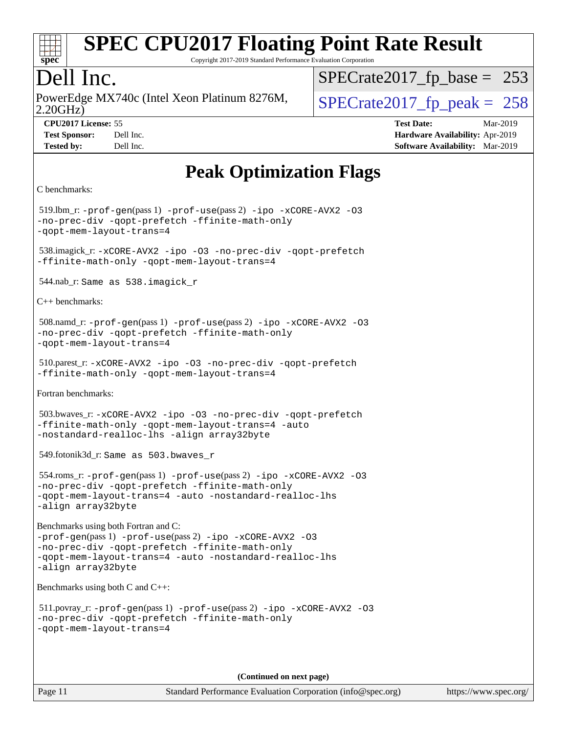

Copyright 2017-2019 Standard Performance Evaluation Corporation

## Dell Inc.

2.20GHz) PowerEdge MX740c (Intel Xeon Platinum 8276M,  $\vert$  [SPECrate2017\\_fp\\_peak =](http://www.spec.org/auto/cpu2017/Docs/result-fields.html#SPECrate2017fppeak) 258

[SPECrate2017\\_fp\\_base =](http://www.spec.org/auto/cpu2017/Docs/result-fields.html#SPECrate2017fpbase) 253

**[CPU2017 License:](http://www.spec.org/auto/cpu2017/Docs/result-fields.html#CPU2017License)** 55 **[Test Date:](http://www.spec.org/auto/cpu2017/Docs/result-fields.html#TestDate)** Mar-2019 **[Test Sponsor:](http://www.spec.org/auto/cpu2017/Docs/result-fields.html#TestSponsor)** Dell Inc. **[Hardware Availability:](http://www.spec.org/auto/cpu2017/Docs/result-fields.html#HardwareAvailability)** Apr-2019 **[Tested by:](http://www.spec.org/auto/cpu2017/Docs/result-fields.html#Testedby)** Dell Inc. **[Software Availability:](http://www.spec.org/auto/cpu2017/Docs/result-fields.html#SoftwareAvailability)** Mar-2019

## **[Peak Optimization Flags](http://www.spec.org/auto/cpu2017/Docs/result-fields.html#PeakOptimizationFlags)**

```
C benchmarks: 
 519.lbm_r: -prof-gen(pass 1) -prof-use(pass 2) -ipo -xCORE-AVX2 -O3
-no-prec-div -qopt-prefetch -ffinite-math-only
-qopt-mem-layout-trans=4
 538.imagick_r: -xCORE-AVX2 -ipo -O3 -no-prec-div -qopt-prefetch
-ffinite-math-only -qopt-mem-layout-trans=4
 544.nab_r: Same as 538.imagick_r
C++ benchmarks: 
 508.namd_r: -prof-gen(pass 1) -prof-use(pass 2) -ipo -xCORE-AVX2 -O3
-no-prec-div -qopt-prefetch -ffinite-math-only
-qopt-mem-layout-trans=4
 510.parest_r: -xCORE-AVX2 -ipo -O3 -no-prec-div -qopt-prefetch
-ffinite-math-only -qopt-mem-layout-trans=4
Fortran benchmarks: 
 503.bwaves_r: -xCORE-AVX2 -ipo -O3 -no-prec-div -qopt-prefetch
-ffinite-math-only -qopt-mem-layout-trans=4 -auto
-nostandard-realloc-lhs -align array32byte
 549.fotonik3d_r: Same as 503.bwaves_r
 554.roms_r: -prof-gen(pass 1) -prof-use(pass 2) -ipo -xCORE-AVX2 -O3
-no-prec-div -qopt-prefetch -ffinite-math-only
-qopt-mem-layout-trans=4 -auto -nostandard-realloc-lhs
-align array32byte
Benchmarks using both Fortran and C: 
-prof-gen(pass 1) -prof-use(pass 2) -ipo -xCORE-AVX2 -O3
-no-prec-div -qopt-prefetch -ffinite-math-only
-qopt-mem-layout-trans=4 -auto -nostandard-realloc-lhs
-align array32byte
Benchmarks using both C and C++: 
 511.povray_r: -prof-gen(pass 1) -prof-use(pass 2) -ipo -xCORE-AVX2 -O3
-no-prec-div -qopt-prefetch -ffinite-math-only
-qopt-mem-layout-trans=4
```
**(Continued on next page)**